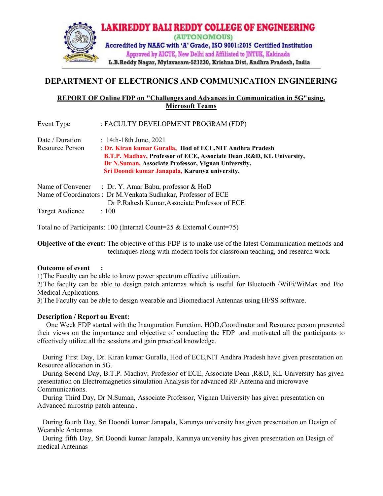

# DEPARTMENT OF ELECTRONICS AND COMMUNICATION ENGINEERING

## REPORT OF Online FDP on "Challenges and Advances in Communication in 5G"using. Microsoft Teams

| Event Type      | : FACULTY DEVELOPMENT PROGRAM (FDP)                                                                                                                                           |
|-----------------|-------------------------------------------------------------------------------------------------------------------------------------------------------------------------------|
| Date / Duration | $: 14th-18th$ June, 2021                                                                                                                                                      |
| Resource Person | : Dr. Kiran kumar Guralla, Hod of ECE, NIT Andhra Pradesh                                                                                                                     |
|                 | B.T.P. Madhav, Professor of ECE, Associate Dean, R&D, KL University,<br>Dr N.Suman, Associate Professor, Vignan University,<br>Sri Doondi kumar Janapala, Karunya university. |
|                 | Name of Convener : Dr. Y. Amar Babu, professor & HoD                                                                                                                          |
|                 | Name of Coordinators: Dr M.Venkata Sudhakar, Professor of ECE                                                                                                                 |
|                 | Dr P.Rakesh Kumar, Associate Professor of ECE                                                                                                                                 |
| Target Audience | :100                                                                                                                                                                          |

Total no of Participants: 100 (Internal Count=25 & External Count=75)

Objective of the event: The objective of this FDP is to make use of the latest Communication methods and techniques along with modern tools for classroom teaching, and research work.

### Outcome of event :

1)The Faculty can be able to know power spectrum effective utilization.

2)The faculty can be able to design patch antennas which is useful for Bluetooth /WiFi/WiMax and Bio Medical Applications.

3)The Faculty can be able to design wearable and Biomediacal Antennas using HFSS software.

## Description / Report on Event:

One Week FDP started with the Inauguration Function, HOD,Coordinator and Resource person presented their views on the importance and objective of conducting the FDP and motivated all the participants to effectively utilize all the sessions and gain practical knowledge.

During First Day, Dr. Kiran kumar Guralla, Hod of ECE,NIT Andhra Pradesh have given presentation on Resource allocation in 5G.

During Second Day, B.T.P. Madhav, Professor of ECE, Associate Dean ,R&D, KL University has given presentation on Electromagnetics simulation Analysis for advanced RF Antenna and microwave Communications.

During Third Day, Dr N.Suman, Associate Professor, Vignan University has given presentation on Advanced mirostrip patch antenna .

During fourth Day, Sri Doondi kumar Janapala, Karunya university has given presentation on Design of Wearable Antennas

During fifth Day, Sri Doondi kumar Janapala, Karunya university has given presentation on Design of medical Antennas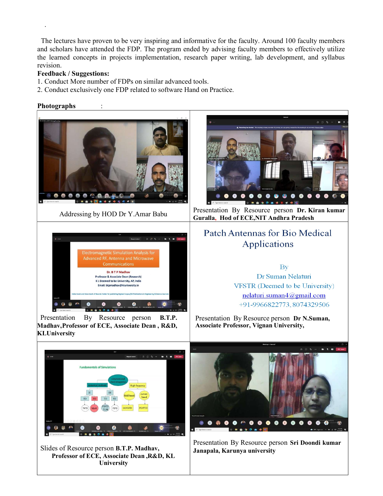The lectures have proven to be very inspiring and informative for the faculty. Around 100 faculty members and scholars have attended the FDP. The program ended by advising faculty members to effectively utilize the learned concepts in projects implementation, research paper writing, lab development, and syllabus revision.

#### Feedback / Suggestions:

- 1. Conduct More number of FDPs on similar advanced tools.
- 2. Conduct exclusively one FDP related to software Hand on Practice.

#### Photographs :

.